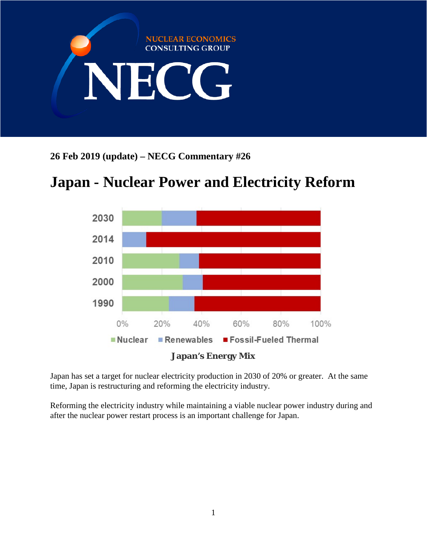

**26 Feb 2019 (update) – NECG Commentary #26**

# **Japan - Nuclear Power and Electricity Reform**



Japan has set a target for nuclear electricity production in 2030 of 20% or greater. At the same time, Japan is restructuring and reforming the electricity industry.

Reforming the electricity industry while maintaining a viable nuclear power industry during and after the nuclear power restart process is an important challenge for Japan.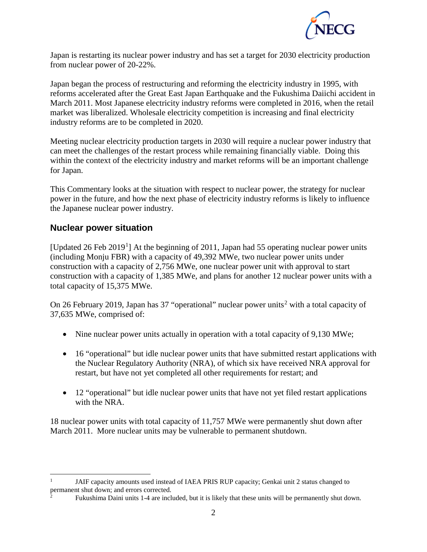

Japan is restarting its nuclear power industry and has set a target for 2030 electricity production from nuclear power of 20-22%.

Japan began the process of restructuring and reforming the electricity industry in 1995, with reforms accelerated after the Great East Japan Earthquake and the Fukushima Daiichi accident in March 2011. Most Japanese electricity industry reforms were completed in 2016, when the retail market was liberalized. Wholesale electricity competition is increasing and final electricity industry reforms are to be completed in 2020.

Meeting nuclear electricity production targets in 2030 will require a nuclear power industry that can meet the challenges of the restart process while remaining financially viable. Doing this within the context of the electricity industry and market reforms will be an important challenge for Japan.

This Commentary looks at the situation with respect to nuclear power, the strategy for nuclear power in the future, and how the next phase of electricity industry reforms is likely to influence the Japanese nuclear power industry.

## **Nuclear power situation**

[Updated 26 Feb 20[1](#page-1-0)9<sup>1</sup>] At the beginning of 2011, Japan had 55 operating nuclear power units (including Monju FBR) with a capacity of 49,392 MWe, two nuclear power units under construction with a capacity of 2,756 MWe, one nuclear power unit with approval to start construction with a capacity of 1,385 MWe, and plans for another 12 nuclear power units with a total capacity of 15,375 MWe.

On [2](#page-1-1)6 February 2019, Japan has 37 "operational" nuclear power units<sup>2</sup> with a total capacity of 37,635 MWe, comprised of:

- Nine nuclear power units actually in operation with a total capacity of 9,130 MWe;
- 16 "operational" but idle nuclear power units that have submitted restart applications with the Nuclear Regulatory Authority (NRA), of which six have received NRA approval for restart, but have not yet completed all other requirements for restart; and
- 12 "operational" but idle nuclear power units that have not yet filed restart applications with the NRA.

18 nuclear power units with total capacity of 11,757 MWe were permanently shut down after March 2011. More nuclear units may be vulnerable to permanent shutdown.

<span id="page-1-0"></span> <sup>1</sup> JAIF capacity amounts used instead of IAEA PRIS RUP capacity; Genkai unit 2 status changed to permanent shut down; and errors corrected.

<span id="page-1-1"></span><sup>2</sup> Fukushima Daini units 1-4 are included, but it is likely that these units will be permanently shut down.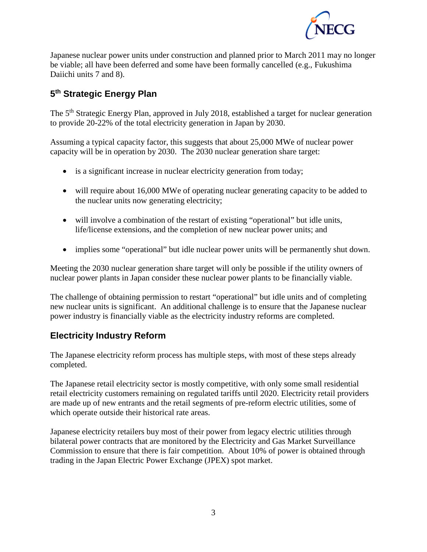

Japanese nuclear power units under construction and planned prior to March 2011 may no longer be viable; all have been deferred and some have been formally cancelled (e.g., Fukushima Daiichi units 7 and 8).

# **5th Strategic Energy Plan**

The 5<sup>th</sup> Strategic Energy Plan, approved in July 2018, established a target for nuclear generation to provide 20-22% of the total electricity generation in Japan by 2030.

Assuming a typical capacity factor, this suggests that about 25,000 MWe of nuclear power capacity will be in operation by 2030. The 2030 nuclear generation share target:

- is a significant increase in nuclear electricity generation from today;
- will require about 16,000 MWe of operating nuclear generating capacity to be added to the nuclear units now generating electricity;
- will involve a combination of the restart of existing "operational" but idle units, life/license extensions, and the completion of new nuclear power units; and
- implies some "operational" but idle nuclear power units will be permanently shut down.

Meeting the 2030 nuclear generation share target will only be possible if the utility owners of nuclear power plants in Japan consider these nuclear power plants to be financially viable.

The challenge of obtaining permission to restart "operational" but idle units and of completing new nuclear units is significant. An additional challenge is to ensure that the Japanese nuclear power industry is financially viable as the electricity industry reforms are completed.

## **Electricity Industry Reform**

The Japanese electricity reform process has multiple steps, with most of these steps already completed.

The Japanese retail electricity sector is mostly competitive, with only some small residential retail electricity customers remaining on regulated tariffs until 2020. Electricity retail providers are made up of new entrants and the retail segments of pre-reform electric utilities, some of which operate outside their historical rate areas.

Japanese electricity retailers buy most of their power from legacy electric utilities through bilateral power contracts that are monitored by the Electricity and Gas Market Surveillance Commission to ensure that there is fair competition. About 10% of power is obtained through trading in the Japan Electric Power Exchange (JPEX) spot market.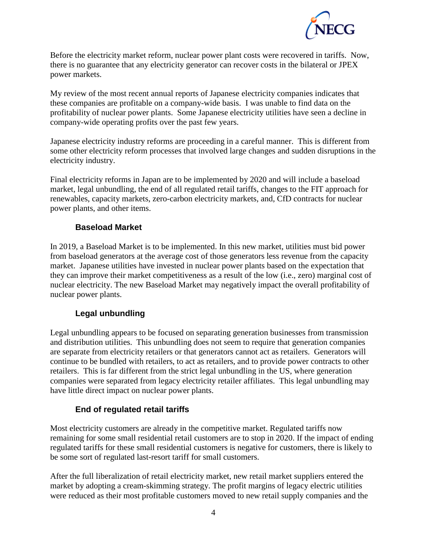

Before the electricity market reform, nuclear power plant costs were recovered in tariffs. Now, there is no guarantee that any electricity generator can recover costs in the bilateral or JPEX power markets.

My review of the most recent annual reports of Japanese electricity companies indicates that these companies are profitable on a company-wide basis. I was unable to find data on the profitability of nuclear power plants. Some Japanese electricity utilities have seen a decline in company-wide operating profits over the past few years.

Japanese electricity industry reforms are proceeding in a careful manner. This is different from some other electricity reform processes that involved large changes and sudden disruptions in the electricity industry.

Final electricity reforms in Japan are to be implemented by 2020 and will include a baseload market, legal unbundling, the end of all regulated retail tariffs, changes to the FIT approach for renewables, capacity markets, zero-carbon electricity markets, and, CfD contracts for nuclear power plants, and other items.

## **Baseload Market**

In 2019, a Baseload Market is to be implemented. In this new market, utilities must bid power from baseload generators at the average cost of those generators less revenue from the capacity market. Japanese utilities have invested in nuclear power plants based on the expectation that they can improve their market competitiveness as a result of the low (i.e., zero) marginal cost of nuclear electricity. The new Baseload Market may negatively impact the overall profitability of nuclear power plants.

## **Legal unbundling**

Legal unbundling appears to be focused on separating generation businesses from transmission and distribution utilities. This unbundling does not seem to require that generation companies are separate from electricity retailers or that generators cannot act as retailers. Generators will continue to be bundled with retailers, to act as retailers, and to provide power contracts to other retailers. This is far different from the strict legal unbundling in the US, where generation companies were separated from legacy electricity retailer affiliates. This legal unbundling may have little direct impact on nuclear power plants.

## **End of regulated retail tariffs**

Most electricity customers are already in the competitive market. Regulated tariffs now remaining for some small residential retail customers are to stop in 2020. If the impact of ending regulated tariffs for these small residential customers is negative for customers, there is likely to be some sort of regulated last-resort tariff for small customers.

After the full liberalization of retail electricity market, new retail market suppliers entered the market by adopting a cream-skimming strategy. The profit margins of legacy electric utilities were reduced as their most profitable customers moved to new retail supply companies and the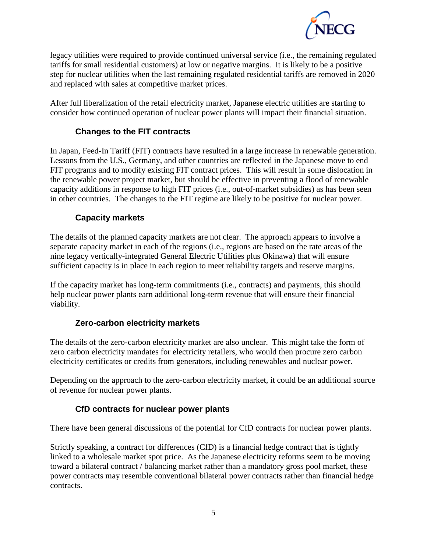

legacy utilities were required to provide continued universal service (i.e., the remaining regulated tariffs for small residential customers) at low or negative margins. It is likely to be a positive step for nuclear utilities when the last remaining regulated residential tariffs are removed in 2020 and replaced with sales at competitive market prices.

After full liberalization of the retail electricity market, Japanese electric utilities are starting to consider how continued operation of nuclear power plants will impact their financial situation.

## **Changes to the FIT contracts**

In Japan, Feed-In Tariff (FIT) contracts have resulted in a large increase in renewable generation. Lessons from the U.S., Germany, and other countries are reflected in the Japanese move to end FIT programs and to modify existing FIT contract prices. This will result in some dislocation in the renewable power project market, but should be effective in preventing a flood of renewable capacity additions in response to high FIT prices (i.e., out-of-market subsidies) as has been seen in other countries. The changes to the FIT regime are likely to be positive for nuclear power.

## **Capacity markets**

The details of the planned capacity markets are not clear. The approach appears to involve a separate capacity market in each of the regions (i.e., regions are based on the rate areas of the nine legacy vertically-integrated General Electric Utilities plus Okinawa) that will ensure sufficient capacity is in place in each region to meet reliability targets and reserve margins.

If the capacity market has long-term commitments (i.e., contracts) and payments, this should help nuclear power plants earn additional long-term revenue that will ensure their financial viability.

#### **Zero-carbon electricity markets**

The details of the zero-carbon electricity market are also unclear. This might take the form of zero carbon electricity mandates for electricity retailers, who would then procure zero carbon electricity certificates or credits from generators, including renewables and nuclear power.

Depending on the approach to the zero-carbon electricity market, it could be an additional source of revenue for nuclear power plants.

## **CfD contracts for nuclear power plants**

There have been general discussions of the potential for CfD contracts for nuclear power plants.

Strictly speaking, a contract for differences (CfD) is a financial hedge contract that is tightly linked to a wholesale market spot price. As the Japanese electricity reforms seem to be moving toward a bilateral contract / balancing market rather than a mandatory gross pool market, these power contracts may resemble conventional bilateral power contracts rather than financial hedge contracts.